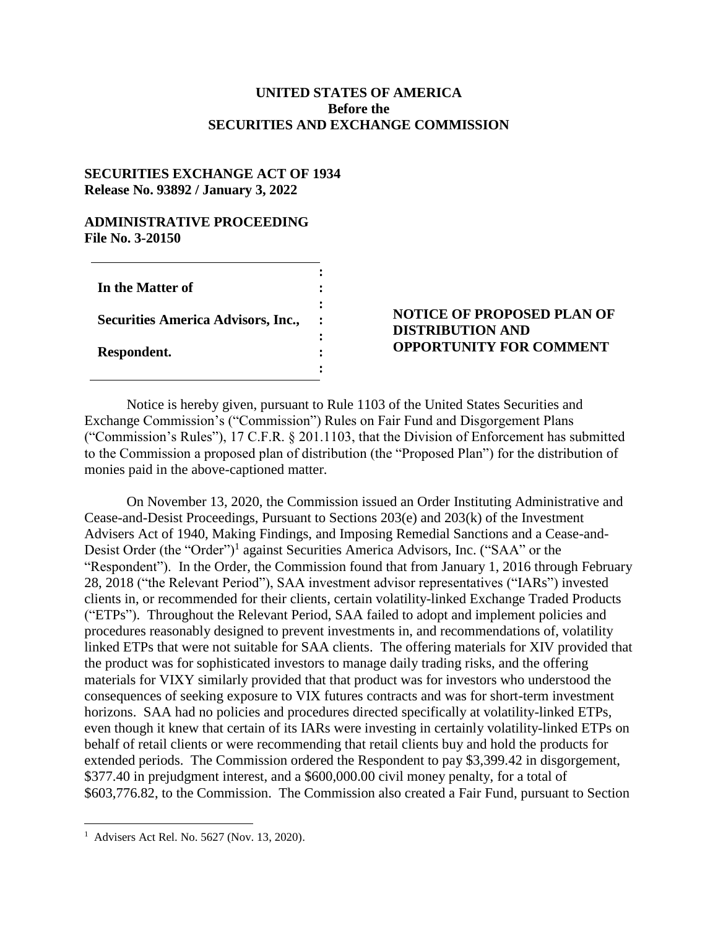### **UNITED STATES OF AMERICA Before the SECURITIES AND EXCHANGE COMMISSION**

#### **SECURITIES EXCHANGE ACT OF 1934 Release No. 93892 / January 3, 2022**

### **ADMINISTRATIVE PROCEEDING File No. 3-20150**

| In the Matter of                          |  |
|-------------------------------------------|--|
| <b>Securities America Advisors, Inc.,</b> |  |
| Respondent.                               |  |

# **NOTICE OF PROPOSED PLAN OF DISTRIBUTION AND OPPORTUNITY FOR COMMENT**

Notice is hereby given, pursuant to Rule 1103 of the United States Securities and Exchange Commission's ("Commission") Rules on Fair Fund and Disgorgement Plans ("Commission's Rules"), 17 C.F.R. § 201.1103, that the Division of Enforcement has submitted to the Commission a proposed plan of distribution (the "Proposed Plan") for the distribution of monies paid in the above-captioned matter.

On November 13, 2020, the Commission issued an Order Instituting Administrative and Cease-and-Desist Proceedings, Pursuant to Sections 203(e) and 203(k) of the Investment Advisers Act of 1940, Making Findings, and Imposing Remedial Sanctions and a Cease-and-Desist Order (the "Order")<sup>1</sup> against Securities America Advisors, Inc. ("SAA" or the "Respondent"). In the Order, the Commission found that from January 1, 2016 through February 28, 2018 ("the Relevant Period"), SAA investment advisor representatives ("IARs") invested clients in, or recommended for their clients, certain volatility-linked Exchange Traded Products ("ETPs"). Throughout the Relevant Period, SAA failed to adopt and implement policies and procedures reasonably designed to prevent investments in, and recommendations of, volatility linked ETPs that were not suitable for SAA clients. The offering materials for XIV provided that the product was for sophisticated investors to manage daily trading risks, and the offering materials for VIXY similarly provided that that product was for investors who understood the consequences of seeking exposure to VIX futures contracts and was for short-term investment horizons. SAA had no policies and procedures directed specifically at volatility-linked ETPs, even though it knew that certain of its IARs were investing in certainly volatility-linked ETPs on behalf of retail clients or were recommending that retail clients buy and hold the products for extended periods. The Commission ordered the Respondent to pay \$3,399.42 in disgorgement, \$377.40 in prejudgment interest, and a \$600,000.00 civil money penalty, for a total of \$603,776.82, to the Commission. The Commission also created a Fair Fund, pursuant to Section

 $\overline{a}$ 

<sup>1</sup> Advisers Act Rel. No. 5627 (Nov. 13, 2020).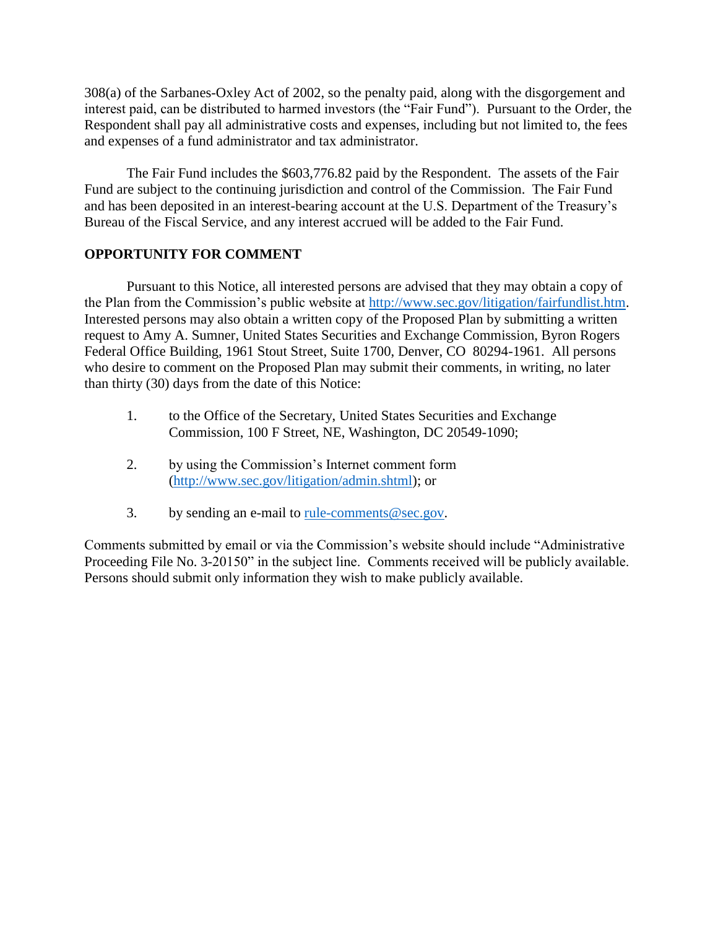308(a) of the Sarbanes-Oxley Act of 2002, so the penalty paid, along with the disgorgement and interest paid, can be distributed to harmed investors (the "Fair Fund"). Pursuant to the Order, the Respondent shall pay all administrative costs and expenses, including but not limited to, the fees and expenses of a fund administrator and tax administrator.

The Fair Fund includes the \$603,776.82 paid by the Respondent. The assets of the Fair Fund are subject to the continuing jurisdiction and control of the Commission. The Fair Fund and has been deposited in an interest-bearing account at the U.S. Department of the Treasury's Bureau of the Fiscal Service, and any interest accrued will be added to the Fair Fund.

# **OPPORTUNITY FOR COMMENT**

Pursuant to this Notice, all interested persons are advised that they may obtain a copy of the Plan from the Commission's public website at [http://www.sec.gov/litigation/fairfundlist.htm.](http://www.sec.gov/litigation/fairfundlist.htm) Interested persons may also obtain a written copy of the Proposed Plan by submitting a written request to Amy A. Sumner, United States Securities and Exchange Commission, Byron Rogers Federal Office Building, 1961 Stout Street, Suite 1700, Denver, CO 80294-1961. All persons who desire to comment on the Proposed Plan may submit their comments, in writing, no later than thirty (30) days from the date of this Notice:

- 1. to the Office of the Secretary, United States Securities and Exchange Commission, 100 F Street, NE, Washington, DC 20549-1090;
- 2. by using the Commission's Internet comment form [\(http://www.sec.gov/litigation/admin.shtml\)](http://www.sec.gov/litigation/admin.shtml); or
- 3. by sending an e-mail to rule-comments  $@sec.gov$ .

Comments submitted by email or via the Commission's website should include "Administrative Proceeding File No. 3-20150" in the subject line. Comments received will be publicly available. Persons should submit only information they wish to make publicly available.